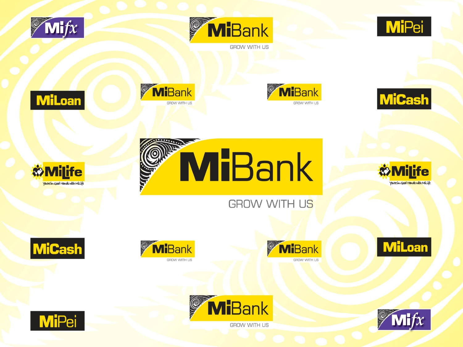





















**GROW WITH US** 















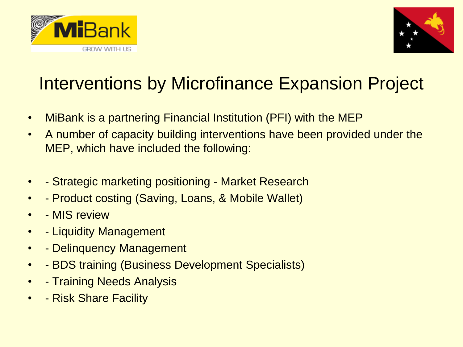



## Interventions by Microfinance Expansion Project

- MiBank is a partnering Financial Institution (PFI) with the MEP
- A number of capacity building interventions have been provided under the MEP, which have included the following:
- - Strategic marketing positioning Market Research
- - Product costing (Saving, Loans, & Mobile Wallet)
- - MIS review
- - Liquidity Management
- - Delinquency Management
- - BDS training (Business Development Specialists)
- - Training Needs Analysis
- - Risk Share Facility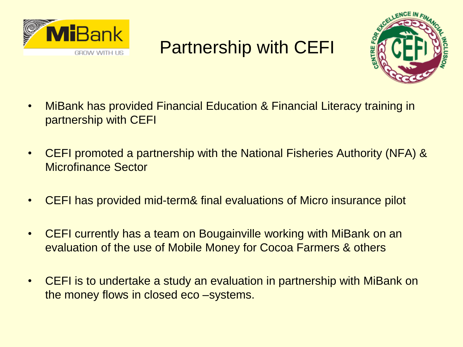

## Partnership with CEFI



- MiBank has provided Financial Education & Financial Literacy training in partnership with CEFI
- CEFI promoted a partnership with the National Fisheries Authority (NFA) & Microfinance Sector
- CEFI has provided mid-term& final evaluations of Micro insurance pilot
- CEFI currently has a team on Bougainville working with MiBank on an evaluation of the use of Mobile Money for Cocoa Farmers & others
- CEFI is to undertake a study an evaluation in partnership with MiBank on the money flows in closed eco –systems.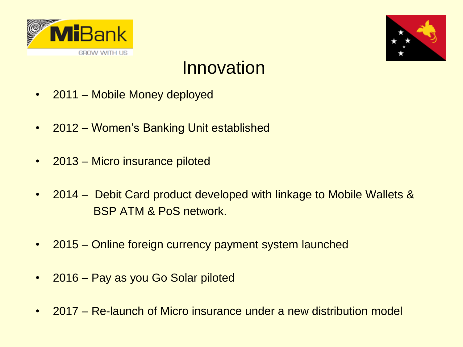



## **Innovation**

- 2011 Mobile Money deployed
- 2012 Women's Banking Unit established
- 2013 Micro insurance piloted
- 2014 Debit Card product developed with linkage to Mobile Wallets & BSP ATM & PoS network.
- 2015 Online foreign currency payment system launched
- 2016 Pay as you Go Solar piloted
- 2017 Re-launch of Micro insurance under a new distribution model